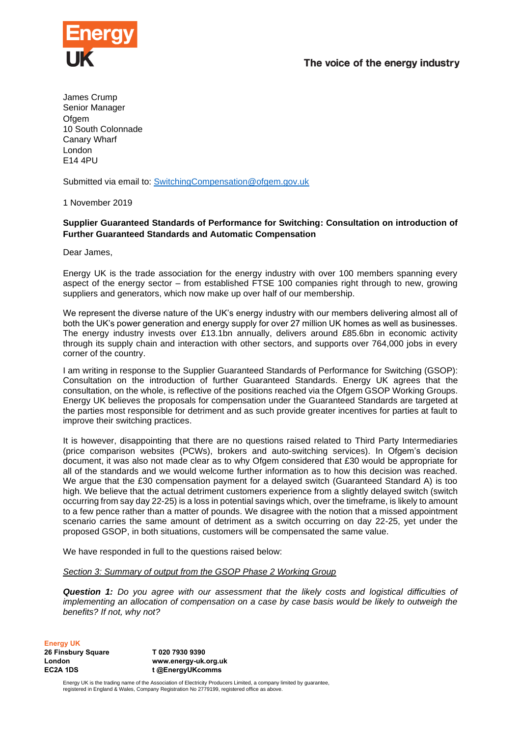# The voice of the energy industry



James Crump Senior Manager **Ofgem** 10 South Colonnade Canary Wharf London E14 4PU

Submitted via email to: [SwitchingCompensation@ofgem.gov.uk](mailto:SwitchingCompensation@ofgem.gov.uk)

1 November 2019

## **Supplier Guaranteed Standards of Performance for Switching: Consultation on introduction of Further Guaranteed Standards and Automatic Compensation**

Dear James,

Energy UK is the trade association for the energy industry with over 100 members spanning every aspect of the energy sector – from established FTSE 100 companies right through to new, growing suppliers and generators, which now make up over half of our membership.

We represent the diverse nature of the UK's energy industry with our members delivering almost all of both the UK's power generation and energy supply for over 27 million UK homes as well as businesses. The energy industry invests over £13.1bn annually, delivers around £85.6bn in economic activity through its supply chain and interaction with other sectors, and supports over 764,000 jobs in every corner of the country.

I am writing in response to the Supplier Guaranteed Standards of Performance for Switching (GSOP): Consultation on the introduction of further Guaranteed Standards. Energy UK agrees that the consultation, on the whole, is reflective of the positions reached via the Ofgem GSOP Working Groups. Energy UK believes the proposals for compensation under the Guaranteed Standards are targeted at the parties most responsible for detriment and as such provide greater incentives for parties at fault to improve their switching practices.

It is however, disappointing that there are no questions raised related to Third Party Intermediaries (price comparison websites (PCWs), brokers and auto-switching services). In Ofgem's decision document, it was also not made clear as to why Ofgem considered that £30 would be appropriate for all of the standards and we would welcome further information as to how this decision was reached. We argue that the £30 compensation payment for a delayed switch (Guaranteed Standard A) is too high. We believe that the actual detriment customers experience from a slightly delayed switch (switch occurring from say day 22-25) is a loss in potential savings which, over the timeframe, is likely to amount to a few pence rather than a matter of pounds. We disagree with the notion that a missed appointment scenario carries the same amount of detriment as a switch occurring on day 22-25, yet under the proposed GSOP, in both situations, customers will be compensated the same value.

We have responded in full to the questions raised below:

*Section 3: Summary of output from the GSOP Phase 2 Working Group* 

*Question 1: Do you agree with our assessment that the likely costs and logistical difficulties of implementing an allocation of compensation on a case by case basis would be likely to outweigh the benefits? If not, why not?*

**Energy UK**

**26 Finsbury Square London EC2A 1DS**

**T 020 7930 9390 www.energy-uk.org.uk t @EnergyUKcomms**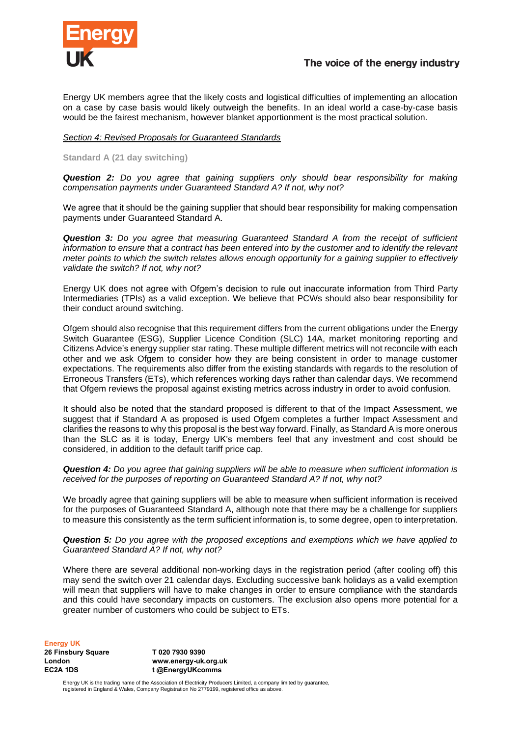

Energy UK members agree that the likely costs and logistical difficulties of implementing an allocation on a case by case basis would likely outweigh the benefits. In an ideal world a case-by-case basis would be the fairest mechanism, however blanket apportionment is the most practical solution.

### *Section 4: Revised Proposals for Guaranteed Standards*

### **Standard A (21 day switching)**

*Question 2: Do you agree that gaining suppliers only should bear responsibility for making compensation payments under Guaranteed Standard A? If not, why not?* 

We agree that it should be the gaining supplier that should bear responsibility for making compensation payments under Guaranteed Standard A.

*Question 3: Do you agree that measuring Guaranteed Standard A from the receipt of sufficient information to ensure that a contract has been entered into by the customer and to identify the relevant meter points to which the switch relates allows enough opportunity for a gaining supplier to effectively validate the switch? If not, why not?* 

Energy UK does not agree with Ofgem's decision to rule out inaccurate information from Third Party Intermediaries (TPIs) as a valid exception. We believe that PCWs should also bear responsibility for their conduct around switching.

Ofgem should also recognise that this requirement differs from the current obligations under the Energy Switch Guarantee (ESG), Supplier Licence Condition (SLC) 14A, market monitoring reporting and Citizens Advice's energy supplier star rating. These multiple different metrics will not reconcile with each other and we ask Ofgem to consider how they are being consistent in order to manage customer expectations. The requirements also differ from the existing standards with regards to the resolution of Erroneous Transfers (ETs), which references working days rather than calendar days. We recommend that Ofgem reviews the proposal against existing metrics across industry in order to avoid confusion.

It should also be noted that the standard proposed is different to that of the Impact Assessment, we suggest that if Standard A as proposed is used Ofgem completes a further Impact Assessment and clarifies the reasons to why this proposal is the best way forward. Finally, as Standard A is more onerous than the SLC as it is today, Energy UK's members feel that any investment and cost should be considered, in addition to the default tariff price cap.

*Question 4: Do you agree that gaining suppliers will be able to measure when sufficient information is received for the purposes of reporting on Guaranteed Standard A? If not, why not?*

We broadly agree that gaining suppliers will be able to measure when sufficient information is received for the purposes of Guaranteed Standard A, although note that there may be a challenge for suppliers to measure this consistently as the term sufficient information is, to some degree, open to interpretation.

*Question 5: Do you agree with the proposed exceptions and exemptions which we have applied to Guaranteed Standard A? If not, why not?*

Where there are several additional non-working days in the registration period (after cooling off) this may send the switch over 21 calendar days. Excluding successive bank holidays as a valid exemption will mean that suppliers will have to make changes in order to ensure compliance with the standards and this could have secondary impacts on customers. The exclusion also opens more potential for a greater number of customers who could be subject to ETs.

**Energy UK**

**26 Finsbury Square London EC2A 1DS**

**T 020 7930 9390 www.energy-uk.org.uk t @EnergyUKcomms**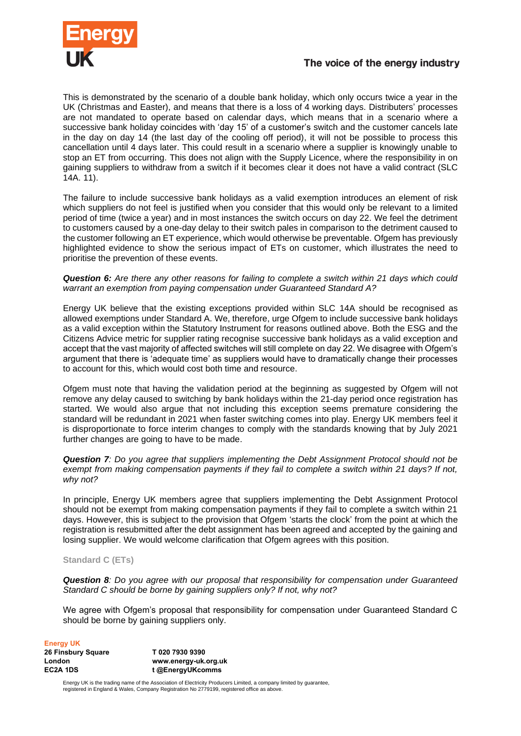

# The voice of the energy industry

This is demonstrated by the scenario of a double bank holiday, which only occurs twice a year in the UK (Christmas and Easter), and means that there is a loss of 4 working days. Distributers' processes are not mandated to operate based on calendar days, which means that in a scenario where a successive bank holiday coincides with 'day 15' of a customer's switch and the customer cancels late in the day on day 14 (the last day of the cooling off period), it will not be possible to process this cancellation until 4 days later. This could result in a scenario where a supplier is knowingly unable to stop an ET from occurring. This does not align with the Supply Licence, where the responsibility in on gaining suppliers to withdraw from a switch if it becomes clear it does not have a valid contract (SLC 14A. 11).

The failure to include successive bank holidays as a valid exemption introduces an element of risk which suppliers do not feel is justified when you consider that this would only be relevant to a limited period of time (twice a year) and in most instances the switch occurs on day 22. We feel the detriment to customers caused by a one-day delay to their switch pales in comparison to the detriment caused to the customer following an ET experience, which would otherwise be preventable. Ofgem has previously highlighted evidence to show the serious impact of ETs on customer, which illustrates the need to prioritise the prevention of these events.

*Question 6: Are there any other reasons for failing to complete a switch within 21 days which could warrant an exemption from paying compensation under Guaranteed Standard A?* 

Energy UK believe that the existing exceptions provided within SLC 14A should be recognised as allowed exemptions under Standard A. We, therefore, urge Ofgem to include successive bank holidays as a valid exception within the Statutory Instrument for reasons outlined above. Both the ESG and the Citizens Advice metric for supplier rating recognise successive bank holidays as a valid exception and accept that the vast majority of affected switches will still complete on day 22. We disagree with Ofgem's argument that there is 'adequate time' as suppliers would have to dramatically change their processes to account for this, which would cost both time and resource.

Ofgem must note that having the validation period at the beginning as suggested by Ofgem will not remove any delay caused to switching by bank holidays within the 21-day period once registration has started. We would also argue that not including this exception seems premature considering the standard will be redundant in 2021 when faster switching comes into play. Energy UK members feel it is disproportionate to force interim changes to comply with the standards knowing that by July 2021 further changes are going to have to be made.

*Question 7: Do you agree that suppliers implementing the Debt Assignment Protocol should not be exempt from making compensation payments if they fail to complete a switch within 21 days? If not, why not?*

In principle, Energy UK members agree that suppliers implementing the Debt Assignment Protocol should not be exempt from making compensation payments if they fail to complete a switch within 21 days. However, this is subject to the provision that Ofgem 'starts the clock' from the point at which the registration is resubmitted after the debt assignment has been agreed and accepted by the gaining and losing supplier. We would welcome clarification that Ofgem agrees with this position.

### **Standard C (ETs)**

*Question 8: Do you agree with our proposal that responsibility for compensation under Guaranteed Standard C should be borne by gaining suppliers only? If not, why not?*

We agree with Ofgem's proposal that responsibility for compensation under Guaranteed Standard C should be borne by gaining suppliers only.

#### **Energy UK**

| 26 Finsbury Square | T020 7930 9390       |
|--------------------|----------------------|
| London             | www.energy-uk.org.uk |
| EC2A 1DS           | t @EnergyUKcomms     |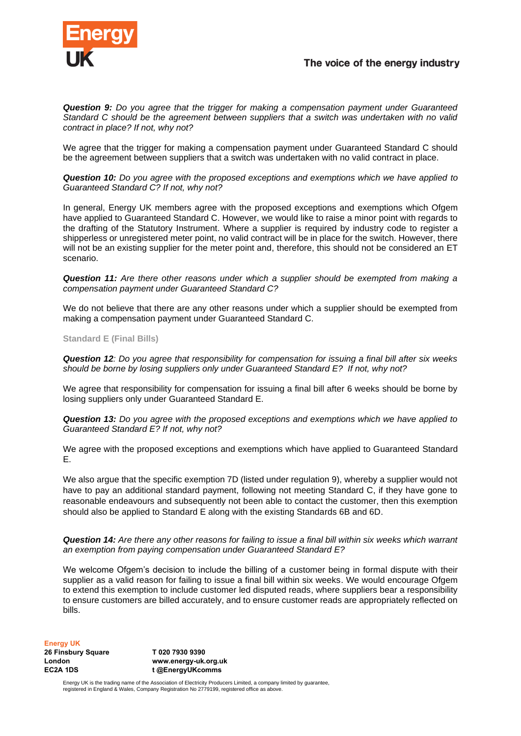

*Question 9: Do you agree that the trigger for making a compensation payment under Guaranteed Standard C should be the agreement between suppliers that a switch was undertaken with no valid contract in place? If not, why not?*

We agree that the trigger for making a compensation payment under Guaranteed Standard C should be the agreement between suppliers that a switch was undertaken with no valid contract in place.

*Question 10: Do you agree with the proposed exceptions and exemptions which we have applied to Guaranteed Standard C? If not, why not?*

In general, Energy UK members agree with the proposed exceptions and exemptions which Ofgem have applied to Guaranteed Standard C. However, we would like to raise a minor point with regards to the drafting of the Statutory Instrument. Where a supplier is required by industry code to register a shipperless or unregistered meter point, no valid contract will be in place for the switch. However, there will not be an existing supplier for the meter point and, therefore, this should not be considered an ET scenario.

*Question 11: Are there other reasons under which a supplier should be exempted from making a compensation payment under Guaranteed Standard C?* 

We do not believe that there are any other reasons under which a supplier should be exempted from making a compensation payment under Guaranteed Standard C.

#### **Standard E (Final Bills)**

*Question 12: Do you agree that responsibility for compensation for issuing a final bill after six weeks should be borne by losing suppliers only under Guaranteed Standard E? If not, why not?* 

We agree that responsibility for compensation for issuing a final bill after 6 weeks should be borne by losing suppliers only under Guaranteed Standard E.

*Question 13: Do you agree with the proposed exceptions and exemptions which we have applied to Guaranteed Standard E? If not, why not?* 

We agree with the proposed exceptions and exemptions which have applied to Guaranteed Standard E.

We also argue that the specific exemption 7D (listed under regulation 9), whereby a supplier would not have to pay an additional standard payment, following not meeting Standard C, if they have gone to reasonable endeavours and subsequently not been able to contact the customer, then this exemption should also be applied to Standard E along with the existing Standards 6B and 6D.

*Question 14: Are there any other reasons for failing to issue a final bill within six weeks which warrant an exemption from paying compensation under Guaranteed Standard E?*

We welcome Ofgem's decision to include the billing of a customer being in formal dispute with their supplier as a valid reason for failing to issue a final bill within six weeks. We would encourage Ofgem to extend this exemption to include customer led disputed reads, where suppliers bear a responsibility to ensure customers are billed accurately, and to ensure customer reads are appropriately reflected on bills.

**Energy UK**

**26 Finsbury Square London EC2A 1DS**

**T 020 7930 9390 www.energy-uk.org.uk t @EnergyUKcomms**